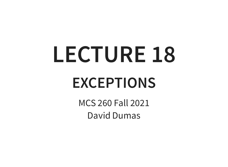# **LECTURE 18**

#### **EXCEPTIONS**

MCS 260 Fall 2021 David Dumas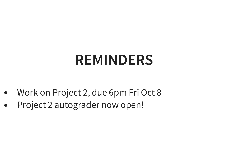#### **REMINDERS**

- Work on Project 2, due 6pm Fri Oct 8  $\bullet$
- Project 2 autograder now open! $\bullet$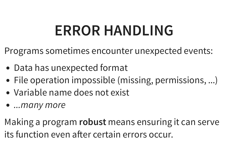#### **ERROR HANDLING**

Programs sometimes encounter unexpected events:

- Data has unexpected format
- File operation impossible (missing, permissions, ...)
- Variable name does not exist
- ...many more

Making a program **robust** means ensuring it can serve its function even after certain errors occur.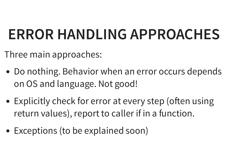# **ERROR HANDLING APPROACHES**

Three main approaches:

- Do nothing. Behavior when an error occurs depends on OS and language. Not good!
- Explicitly check for error at every step (often using return values), report to caller if in a function.
- Exceptions (to be explained soon)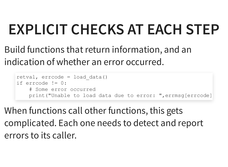# **EXPLICIT CHECKS AT EACH STEP**

Build functions that return information, and an indication of whether an error occurred.

```
retval, errcode = load_data()
if errcode != 0:
    # Some error occurred
    print("Unable to load data due to error: "
,errmsg[errcode]
```
When functions call other functions, this gets complicated. Each one needs to detect and report errors to its caller.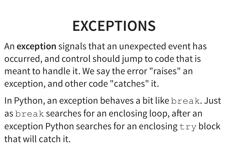#### **EXCEPTIONS**

- An **exception** signals that an unexpected event has occurred, and control should jump to code that is meant to handle it. We say the error "raises" an exception, and other code "catches" it.
- In Python, an exception behaves a bit like break. Just as break searches for an enclosing loop, after an exception Python searches for an enclosing  $try$  block that will catch it.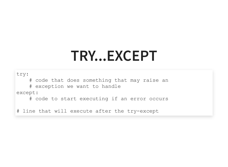#### **TRY...EXCEPT**

try:

# code that does something that may raise an

# exception we want to handle

except:

# code to start executing if an error occurs

# line that will execute after the try-except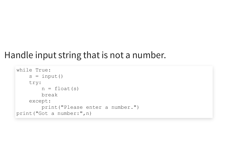#### Handle input string that is not a number.

```
while True:
    s = input()try:
        n = \text{float}(s)break
    except:
        print("Please enter a number.")
print("Got a number:"
,n)
```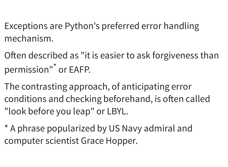Exceptions are Python's preferred error handling mechanism.

Often described as "it is easier to ask forgiveness than permission"<sup>\*</sup> or EAFP.

The contrasting approach, of anticipating error conditions and checking beforehand, is often called "look before you leap" or LBYL.

\* A phrase popularized by US Navy admiral and computer scientist Grace Hopper.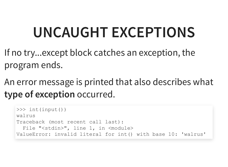## **UNCAUGHT EXCEPTIONS**

If no try...except block catches an exception, the program ends.

An error message is printed that also describes what **type of exception** occurred.

```
>>> int(input())
walrus
Traceback (most recent call last):
  File "<stdin>", line 1, in <module>
ValueError: invalid literal for int() with base 10: 'walrus'
```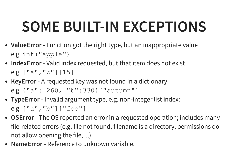# **SOME BUILT-IN EXCEPTIONS**

- **ValueError** Function got the right type, but an inappropriate value e.g. int("apple")
- **IndexError** Valid index requested, but that item does not exist e.g. ["a" , "b"][15]
- **KeyError** A requested key was not found in a dictionary e.g. {"a": 260, "b":330}["autumn"]
- **TypeError** Invalid argument type, e.g. non-integer list index: e.g. ["a" , "b"]["foo"]
- **OSError** The OS reported an error in a requested operation; includes many file-related errors (e.g. file not found, filename is a directory, permissions do not allow opening the file, ...)
- **NameError** Reference to unknown variable.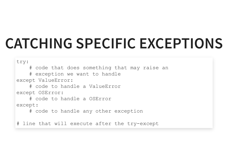#### **CATCHING SPECIFIC EXCEPTIONS**

try: # code that does something that may raise an # exception we want to handle except ValueError: # code to handle a ValueError except OSError: # code to handle a OSError except: # code to handle any other exception

# line that will execute after the try-except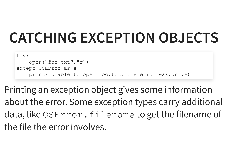#### **CATCHING EXCEPTION OBJECTS**

```
try:
    open("foo.txt"
,
"r")
except OSError as e:
    print("Unable to open foo.txt; the error was:\n"
,e)
```
Printing an exception object gives some information about the error. Some exception types carry additional data, like OSError. filename to get the filename of the file the error involves.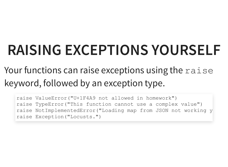# **RAISING EXCEPTIONS YOURSELF**

#### Your functions can raise exceptions using the raise keyword, followed by an exception type.

raise ValueError("U+1F4A9 not allowed in homework") raise TypeError("This function cannot use a complex value") raise NotImplementedError("Loading map from JSON not working y raise Exception("Locusts.")